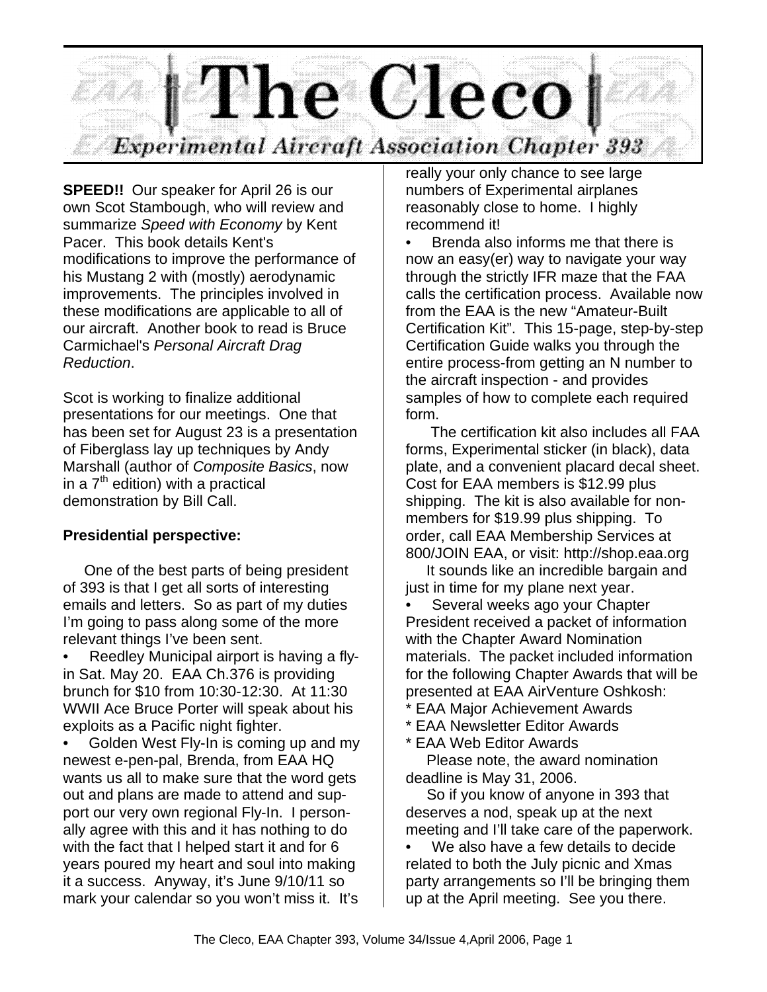

**SPEED!!** Our speaker for April 26 is our own Scot Stambough, who will review and summarize *Speed with Economy* by Kent Pacer. This book details Kent's modifications to improve the performance of his Mustang 2 with (mostly) aerodynamic improvements. The principles involved in these modifications are applicable to all of our aircraft. Another book to read is Bruce Carmichael's *Personal Aircraft Drag Reduction*.

Scot is working to finalize additional presentations for our meetings. One that has been set for August 23 is a presentation of Fiberglass lay up techniques by Andy Marshall (author of *Composite Basics*, now in a  $7<sup>th</sup>$  edition) with a practical demonstration by Bill Call.

## **Presidential perspective:**

 One of the best parts of being president of 393 is that I get all sorts of interesting emails and letters. So as part of my duties I'm going to pass along some of the more relevant things I've been sent.

• Reedley Municipal airport is having a flyin Sat. May 20. EAA Ch.376 is providing brunch for \$10 from 10:30-12:30. At 11:30 WWII Ace Bruce Porter will speak about his exploits as a Pacific night fighter.

• Golden West Fly-In is coming up and my newest e-pen-pal, Brenda, from EAA HQ wants us all to make sure that the word gets out and plans are made to attend and support our very own regional Fly-In. I personally agree with this and it has nothing to do with the fact that I helped start it and for 6 years poured my heart and soul into making it a success. Anyway, it's June 9/10/11 so mark your calendar so you won't miss it. It's

really your only chance to see large numbers of Experimental airplanes reasonably close to home. I highly recommend it!

• Brenda also informs me that there is now an easy(er) way to navigate your way through the strictly IFR maze that the FAA calls the certification process. Available now from the EAA is the new "Amateur-Built Certification Kit". This 15-page, step-by-step Certification Guide walks you through the entire process-from getting an N number to the aircraft inspection - and provides samples of how to complete each required form.

 The certification kit also includes all FAA forms, Experimental sticker (in black), data plate, and a convenient placard decal sheet. Cost for EAA members is \$12.99 plus shipping. The kit is also available for nonmembers for \$19.99 plus shipping. To order, call EAA Membership Services at 800/JOIN EAA, or visit: http://shop.eaa.org

 It sounds like an incredible bargain and just in time for my plane next year.

Several weeks ago your Chapter President received a packet of information with the Chapter Award Nomination materials. The packet included information for the following Chapter Awards that will be presented at EAA AirVenture Oshkosh:

- **EAA Major Achievement Awards**
- \* EAA Newsletter Editor Awards
- \* EAA Web Editor Awards

 Please note, the award nomination deadline is May 31, 2006.

 So if you know of anyone in 393 that deserves a nod, speak up at the next meeting and I'll take care of the paperwork.

We also have a few details to decide related to both the July picnic and Xmas party arrangements so I'll be bringing them up at the April meeting. See you there.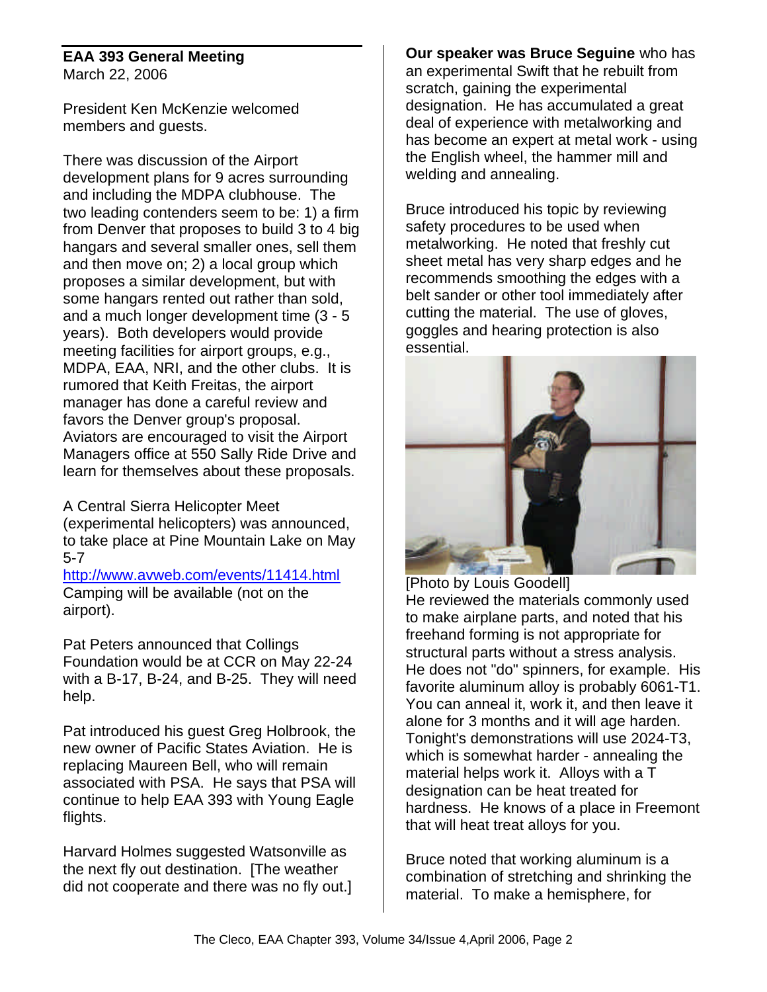#### **EAA 393 General Meeting** March 22, 2006

President Ken McKenzie welcomed members and guests.

There was discussion of the Airport development plans for 9 acres surrounding and including the MDPA clubhouse. The two leading contenders seem to be: 1) a firm from Denver that proposes to build 3 to 4 big hangars and several smaller ones, sell them and then move on; 2) a local group which proposes a similar development, but with some hangars rented out rather than sold, and a much longer development time (3 - 5 years). Both developers would provide meeting facilities for airport groups, e.g., MDPA, EAA, NRI, and the other clubs. It is rumored that Keith Freitas, the airport manager has done a careful review and favors the Denver group's proposal. Aviators are encouraged to visit the Airport Managers office at 550 Sally Ride Drive and learn for themselves about these proposals.

A Central Sierra Helicopter Meet (experimental helicopters) was announced, to take place at Pine Mountain Lake on May 5-7

http://www.avweb.com/events/11414.html Camping will be available (not on the airport).

Pat Peters announced that Collings Foundation would be at CCR on May 22-24 with a B-17, B-24, and B-25. They will need help.

Pat introduced his guest Greg Holbrook, the new owner of Pacific States Aviation. He is replacing Maureen Bell, who will remain associated with PSA. He says that PSA will continue to help EAA 393 with Young Eagle flights.

Harvard Holmes suggested Watsonville as the next fly out destination. [The weather did not cooperate and there was no fly out.] **Our speaker was Bruce Seguine** who has an experimental Swift that he rebuilt from scratch, gaining the experimental designation. He has accumulated a great deal of experience with metalworking and has become an expert at metal work - using the English wheel, the hammer mill and welding and annealing.

Bruce introduced his topic by reviewing safety procedures to be used when metalworking. He noted that freshly cut sheet metal has very sharp edges and he recommends smoothing the edges with a belt sander or other tool immediately after cutting the material. The use of gloves, goggles and hearing protection is also essential.



#### [Photo by Louis Goodell] He reviewed the materials commonly used to make airplane parts, and noted that his freehand forming is not appropriate for structural parts without a stress analysis. He does not "do" spinners, for example. His favorite aluminum alloy is probably 6061-T1. You can anneal it, work it, and then leave it alone for 3 months and it will age harden. Tonight's demonstrations will use 2024-T3, which is somewhat harder - annealing the material helps work it. Alloys with a T designation can be heat treated for hardness. He knows of a place in Freemont that will heat treat alloys for you.

Bruce noted that working aluminum is a combination of stretching and shrinking the material. To make a hemisphere, for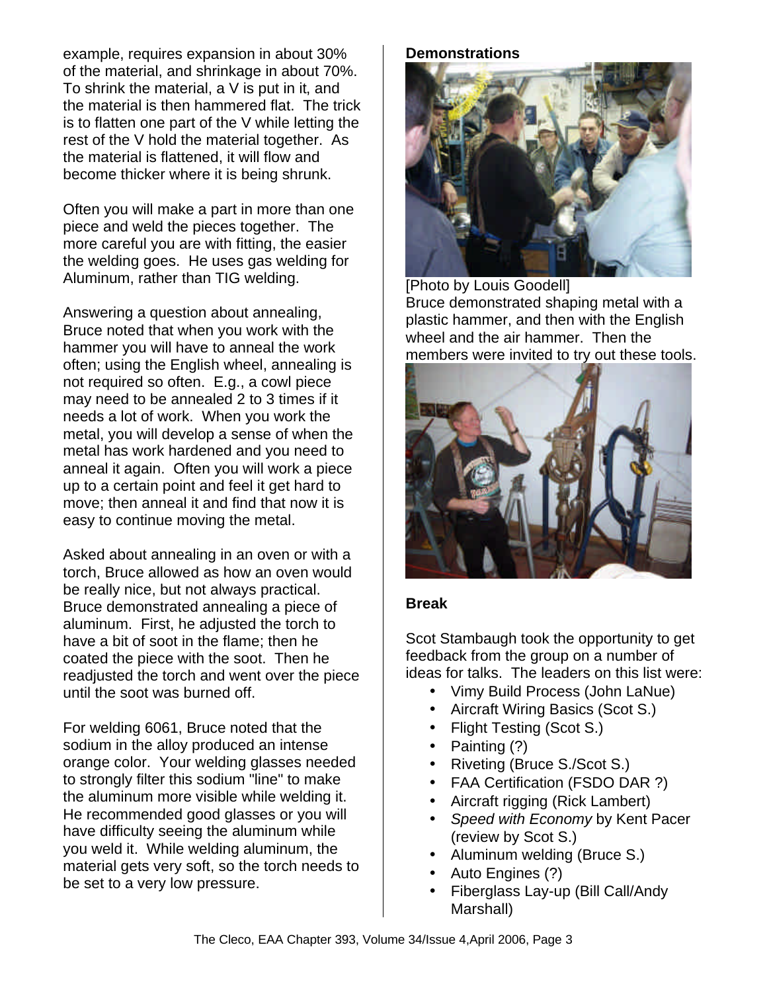example, requires expansion in about 30% of the material, and shrinkage in about 70%. To shrink the material, a V is put in it, and the material is then hammered flat. The trick is to flatten one part of the V while letting the rest of the V hold the material together. As the material is flattened, it will flow and become thicker where it is being shrunk.

Often you will make a part in more than one piece and weld the pieces together. The more careful you are with fitting, the easier the welding goes. He uses gas welding for Aluminum, rather than TIG welding.

Answering a question about annealing, Bruce noted that when you work with the hammer you will have to anneal the work often; using the English wheel, annealing is not required so often. E.g., a cowl piece may need to be annealed 2 to 3 times if it needs a lot of work. When you work the metal, you will develop a sense of when the metal has work hardened and you need to anneal it again. Often you will work a piece up to a certain point and feel it get hard to move; then anneal it and find that now it is easy to continue moving the metal.

Asked about annealing in an oven or with a torch, Bruce allowed as how an oven would be really nice, but not always practical. Bruce demonstrated annealing a piece of aluminum. First, he adjusted the torch to have a bit of soot in the flame; then he coated the piece with the soot. Then he readjusted the torch and went over the piece until the soot was burned off.

For welding 6061, Bruce noted that the sodium in the alloy produced an intense orange color. Your welding glasses needed to strongly filter this sodium "line" to make the aluminum more visible while welding it. He recommended good glasses or you will have difficulty seeing the aluminum while you weld it. While welding aluminum, the material gets very soft, so the torch needs to be set to a very low pressure.

**Demonstrations**



[Photo by Louis Goodell] Bruce demonstrated shaping metal with a plastic hammer, and then with the English wheel and the air hammer. Then the members were invited to try out these tools.



### **Break**

Scot Stambaugh took the opportunity to get feedback from the group on a number of ideas for talks. The leaders on this list were:

- Vimy Build Process (John LaNue)
- Aircraft Wiring Basics (Scot S.)
- Flight Testing (Scot S.)
- Painting (?)
- Riveting (Bruce S./Scot S.)
- FAA Certification (FSDO DAR ?)
- Aircraft rigging (Rick Lambert)
- *Speed with Economy* by Kent Pacer (review by Scot S.)
- Aluminum welding (Bruce S.)
- Auto Engines (?)
- Fiberglass Lay-up (Bill Call/Andy Marshall)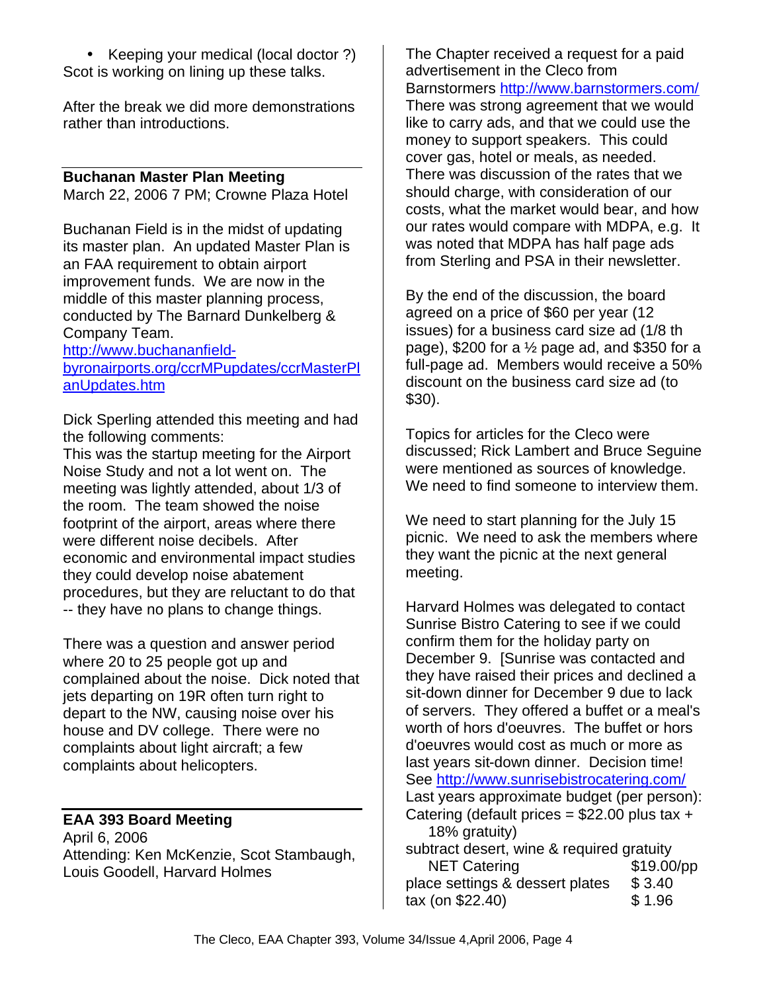• Keeping your medical (local doctor ?) Scot is working on lining up these talks.

After the break we did more demonstrations rather than introductions.

#### **Buchanan Master Plan Meeting**

March 22, 2006 7 PM; Crowne Plaza Hotel

Buchanan Field is in the midst of updating its master plan. An updated Master Plan is an FAA requirement to obtain airport improvement funds. We are now in the middle of this master planning process, conducted by The Barnard Dunkelberg & Company Team.

http://www.buchananfieldbyronairports.org/ccrMPupdates/ccrMasterPl anUpdates.htm

Dick Sperling attended this meeting and had the following comments:

This was the startup meeting for the Airport Noise Study and not a lot went on. The meeting was lightly attended, about 1/3 of the room. The team showed the noise footprint of the airport, areas where there were different noise decibels. After economic and environmental impact studies they could develop noise abatement procedures, but they are reluctant to do that -- they have no plans to change things.

There was a question and answer period where 20 to 25 people got up and complained about the noise. Dick noted that jets departing on 19R often turn right to depart to the NW, causing noise over his house and DV college. There were no complaints about light aircraft; a few complaints about helicopters.

#### **EAA 393 Board Meeting**

April 6, 2006 Attending: Ken McKenzie, Scot Stambaugh, Louis Goodell, Harvard Holmes

The Chapter received a request for a paid advertisement in the Cleco from Barnstormers http://www.barnstormers.com/ There was strong agreement that we would like to carry ads, and that we could use the money to support speakers. This could cover gas, hotel or meals, as needed. There was discussion of the rates that we should charge, with consideration of our costs, what the market would bear, and how our rates would compare with MDPA, e.g. It was noted that MDPA has half page ads from Sterling and PSA in their newsletter.

By the end of the discussion, the board agreed on a price of \$60 per year (12 issues) for a business card size ad (1/8 th page), \$200 for a  $\frac{1}{2}$  page ad, and \$350 for a full-page ad. Members would receive a 50% discount on the business card size ad (to \$30).

Topics for articles for the Cleco were discussed; Rick Lambert and Bruce Seguine were mentioned as sources of knowledge. We need to find someone to interview them.

We need to start planning for the July 15 picnic. We need to ask the members where they want the picnic at the next general meeting.

Harvard Holmes was delegated to contact Sunrise Bistro Catering to see if we could confirm them for the holiday party on December 9. [Sunrise was contacted and they have raised their prices and declined a sit-down dinner for December 9 due to lack of servers. They offered a buffet or a meal's worth of hors d'oeuvres. The buffet or hors d'oeuvres would cost as much or more as last years sit-down dinner. Decision time! See http://www.sunrisebistrocatering.com/ Last years approximate budget (per person): Catering (default prices =  $$22.00$  plus tax + 18% gratuity) subtract desert, wine & required gratuity NET Catering \$19.00/pp place settings & dessert plates \$ 3.40

tax (on \$22.40) \$ 1.96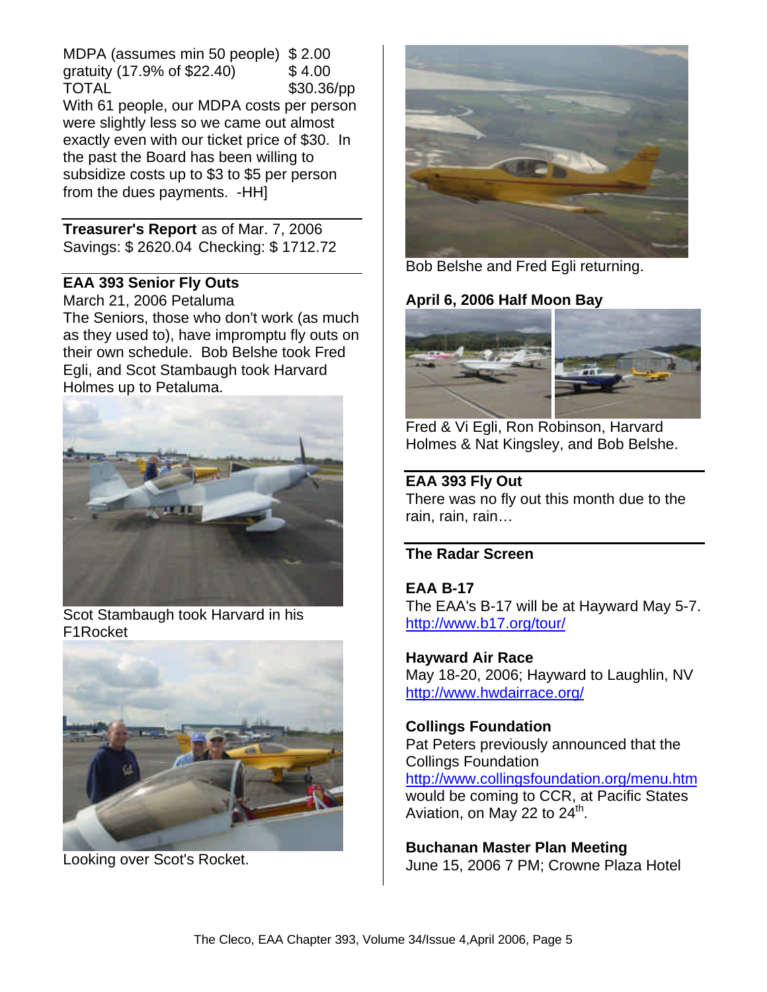MDPA (assumes min 50 people) \$ 2.00 gratuity (17.9% of \$22.40) \$ 4.00 TOTAL \$30.36/pp With 61 people, our MDPA costs per person were slightly less so we came out almost exactly even with our ticket price of \$30. In the past the Board has been willing to subsidize costs up to \$3 to \$5 per person from the dues payments. -HH]

**Treasurer's Report** as of Mar. 7, 2006 Savings: \$ 2620.04 Checking: \$ 1712.72

### **EAA 393 Senior Fly Outs**

March 21, 2006 Petaluma The Seniors, those who don't work (as much as they used to), have impromptu fly outs on their own schedule. Bob Belshe took Fred Egli, and Scot Stambaugh took Harvard Holmes up to Petaluma.



Scot Stambaugh took Harvard in his F1Rocket



Looking over Scot's Rocket.



Bob Belshe and Fred Egli returning.

# **April 6, 2006 Half Moon Bay**



Fred & Vi Egli, Ron Robinson, Harvard Holmes & Nat Kingsley, and Bob Belshe.

## **EAA 393 Fly Out**

There was no fly out this month due to the rain, rain, rain…

## **The Radar Screen**

**EAA B-17** The EAA's B-17 will be at Hayward May 5-7. http://www.b17.org/tour/

**Hayward Air Race** May 18-20, 2006; Hayward to Laughlin, NV http://www.hwdairrace.org/

## **Collings Foundation**

Pat Peters previously announced that the Collings Foundation

http://www.collingsfoundation.org/menu.htm would be coming to CCR, at Pacific States Aviation, on May 22 to  $24^{\text{th}}$ .

**Buchanan Master Plan Meeting** June 15, 2006 7 PM; Crowne Plaza Hotel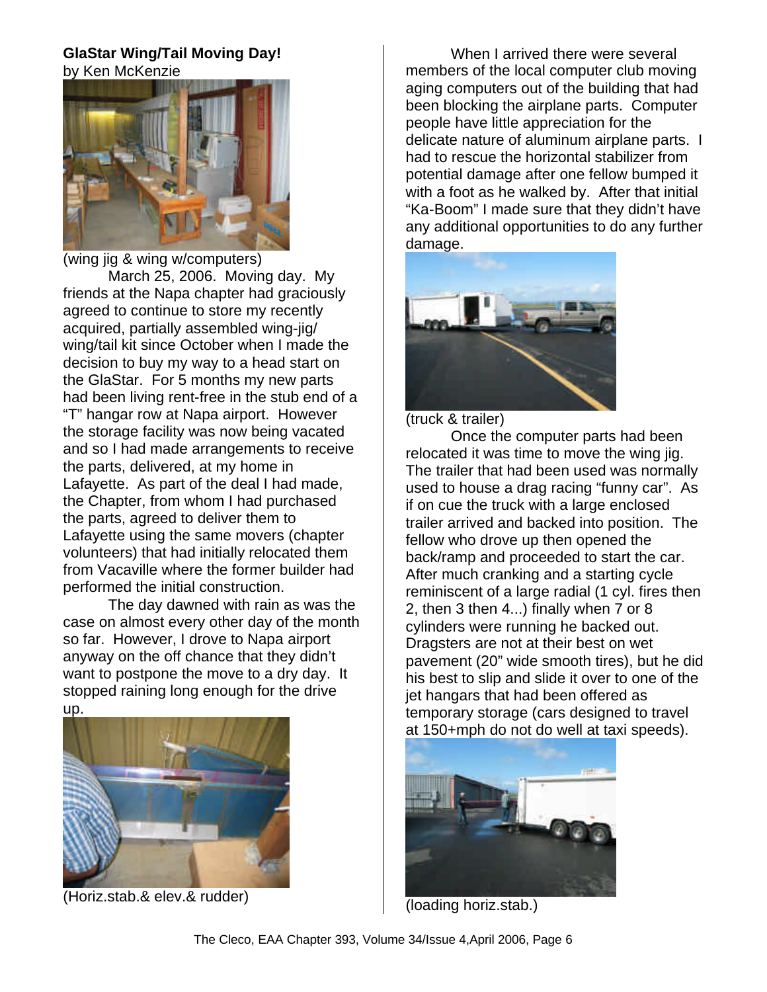# **GlaStar Wing/Tail Moving Day!** by Ken McKenzie



(wing jig & wing w/computers) March 25, 2006. Moving day. My friends at the Napa chapter had graciously agreed to continue to store my recently acquired, partially assembled wing-jig/ wing/tail kit since October when I made the decision to buy my way to a head start on the GlaStar. For 5 months my new parts had been living rent-free in the stub end of a "T" hangar row at Napa airport. However the storage facility was now being vacated and so I had made arrangements to receive the parts, delivered, at my home in Lafayette. As part of the deal I had made, the Chapter, from whom I had purchased the parts, agreed to deliver them to Lafayette using the same movers (chapter volunteers) that had initially relocated them from Vacaville where the former builder had performed the initial construction.

The day dawned with rain as was the case on almost every other day of the month so far. However, I drove to Napa airport anyway on the off chance that they didn't want to postpone the move to a dry day. It stopped raining long enough for the drive up.



(Horiz.stab.& elev.& rudder)

When I arrived there were several members of the local computer club moving aging computers out of the building that had been blocking the airplane parts. Computer people have little appreciation for the delicate nature of aluminum airplane parts. I had to rescue the horizontal stabilizer from potential damage after one fellow bumped it with a foot as he walked by. After that initial "Ka-Boom" I made sure that they didn't have any additional opportunities to do any further damage.



(truck & trailer)

Once the computer parts had been relocated it was time to move the wing jig. The trailer that had been used was normally used to house a drag racing "funny car". As if on cue the truck with a large enclosed trailer arrived and backed into position. The fellow who drove up then opened the back/ramp and proceeded to start the car. After much cranking and a starting cycle reminiscent of a large radial (1 cyl. fires then 2, then 3 then 4...) finally when 7 or 8 cylinders were running he backed out. Dragsters are not at their best on wet pavement (20" wide smooth tires), but he did his best to slip and slide it over to one of the jet hangars that had been offered as temporary storage (cars designed to travel at 150+mph do not do well at taxi speeds).



(loading horiz.stab.)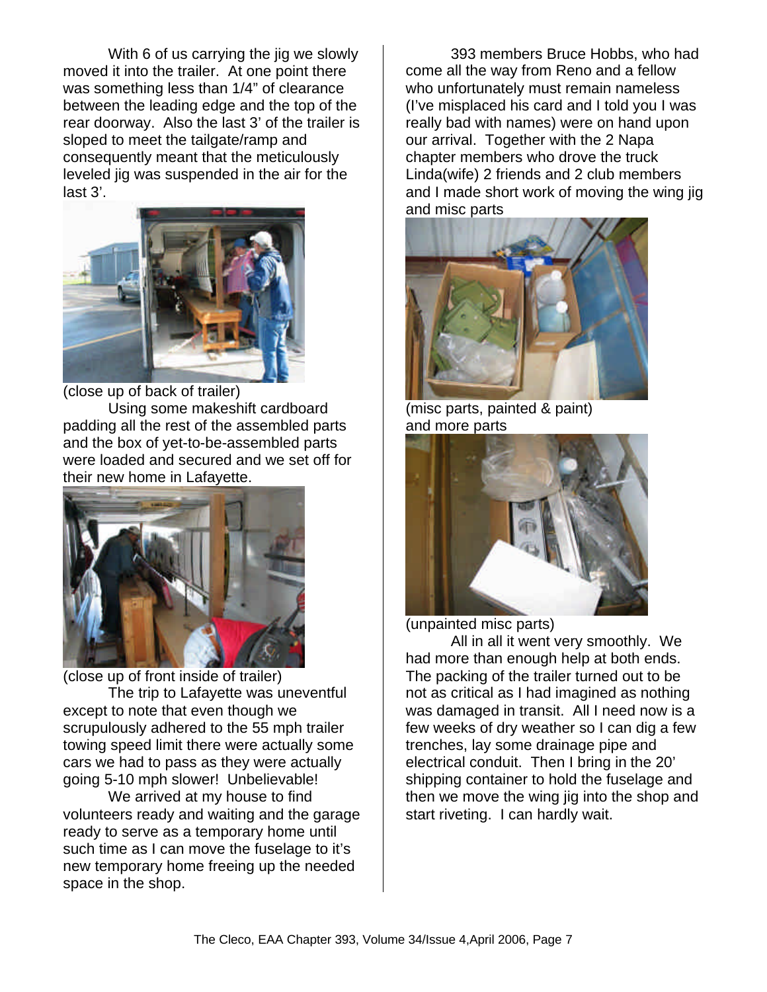With 6 of us carrying the jig we slowly moved it into the trailer. At one point there was something less than 1/4" of clearance between the leading edge and the top of the rear doorway. Also the last 3' of the trailer is sloped to meet the tailgate/ramp and consequently meant that the meticulously leveled jig was suspended in the air for the last 3'.



(close up of back of trailer)

Using some makeshift cardboard padding all the rest of the assembled parts and the box of yet-to-be-assembled parts were loaded and secured and we set off for their new home in Lafayette.



(close up of front inside of trailer) The trip to Lafayette was uneventful except to note that even though we scrupulously adhered to the 55 mph trailer towing speed limit there were actually some cars we had to pass as they were actually going 5-10 mph slower! Unbelievable!

We arrived at my house to find volunteers ready and waiting and the garage ready to serve as a temporary home until such time as I can move the fuselage to it's new temporary home freeing up the needed space in the shop.

393 members Bruce Hobbs, who had come all the way from Reno and a fellow who unfortunately must remain nameless (I've misplaced his card and I told you I was really bad with names) were on hand upon our arrival. Together with the 2 Napa chapter members who drove the truck Linda(wife) 2 friends and 2 club members and I made short work of moving the wing jig and misc parts



(misc parts, painted & paint) and more parts



(unpainted misc parts)

All in all it went very smoothly. We had more than enough help at both ends. The packing of the trailer turned out to be not as critical as I had imagined as nothing was damaged in transit. All I need now is a few weeks of dry weather so I can dig a few trenches, lay some drainage pipe and electrical conduit. Then I bring in the 20' shipping container to hold the fuselage and then we move the wing jig into the shop and start riveting. I can hardly wait.